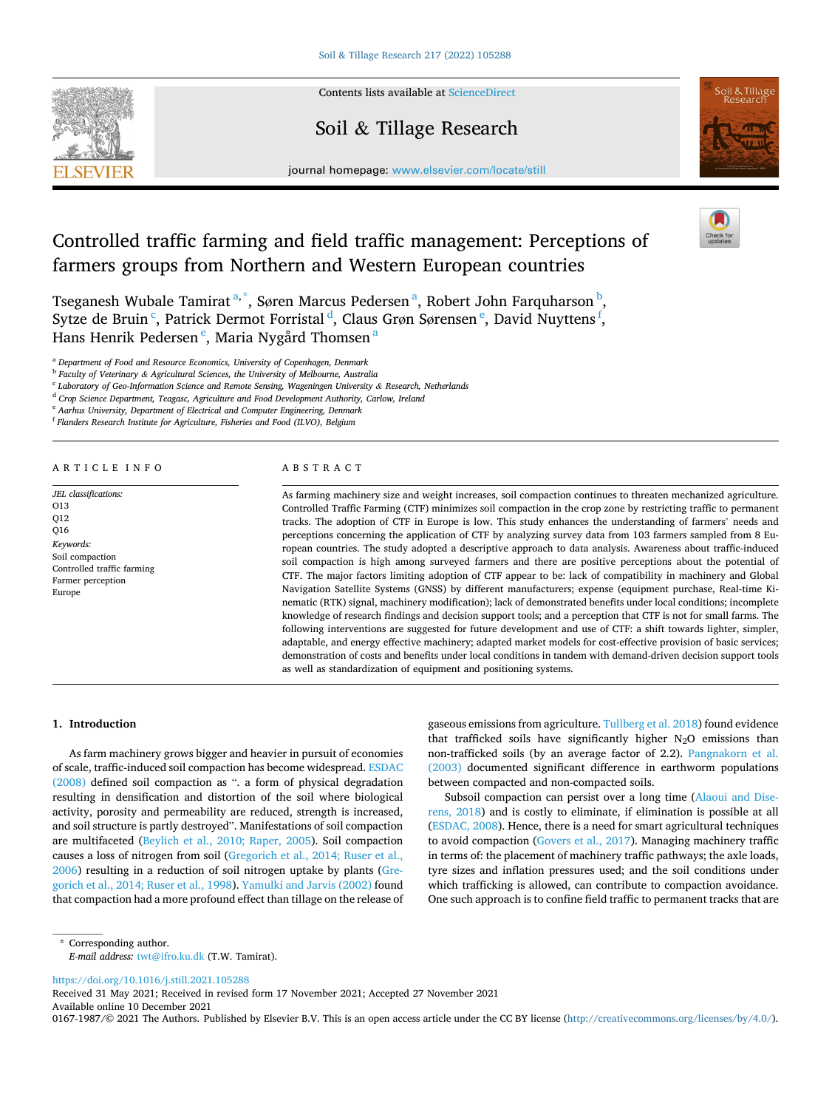

Contents lists available at [ScienceDirect](www.sciencedirect.com/science/journal/01671987)

# Soil & Tillage Research





journal homepage: [www.elsevier.com/locate/still](https://www.elsevier.com/locate/still)

# Controlled traffic farming and field traffic management: Perceptions of farmers groups from Northern and Western European countries

Tseganesh Wubale Tamirat <sup>a,\*</sup>, Søren Marcus Pedersen <sup>a</sup>, Robert John Farquharson <sup>b</sup>, Sytze de Bruin<sup>c</sup>, Patrick Dermot Forristal<sup>d</sup>, Claus Grøn Sørensen<sup>e</sup>, David Nuyttens<sup>f</sup>, Hans Henrik Pedersen<sup>e</sup>, Maria Nygård Thomsen<sup>a</sup>

<sup>a</sup> *Department of Food and Resource Economics, University of Copenhagen, Denmark* 

<sup>b</sup> *Faculty of Veterinary & Agricultural Sciences, the University of Melbourne, Australia* 

<sup>c</sup> *Laboratory of Geo-Information Science and Remote Sensing, Wageningen University & Research, Netherlands* 

<sup>d</sup> *Crop Science Department, Teagasc, Agriculture and Food Development Authority, Carlow, Ireland* 

<sup>e</sup> *Aarhus University, Department of Electrical and Computer Engineering, Denmark* 

<sup>f</sup> *Flanders Research Institute for Agriculture, Fisheries and Food (ILVO), Belgium* 

# ARTICLE INFO

*JEL classifications:* 

O13 Q12 Q16 *Keywords:*  Soil compaction Controlled traffic farming Farmer perception Europe

ABSTRACT

As farming machinery size and weight increases, soil compaction continues to threaten mechanized agriculture. Controlled Traffic Farming (CTF) minimizes soil compaction in the crop zone by restricting traffic to permanent tracks. The adoption of CTF in Europe is low. This study enhances the understanding of farmers' needs and perceptions concerning the application of CTF by analyzing survey data from 103 farmers sampled from 8 European countries. The study adopted a descriptive approach to data analysis. Awareness about traffic-induced soil compaction is high among surveyed farmers and there are positive perceptions about the potential of CTF. The major factors limiting adoption of CTF appear to be: lack of compatibility in machinery and Global Navigation Satellite Systems (GNSS) by different manufacturers; expense (equipment purchase, Real-time Kinematic (RTK) signal, machinery modification); lack of demonstrated benefits under local conditions; incomplete knowledge of research findings and decision support tools; and a perception that CTF is not for small farms. The following interventions are suggested for future development and use of CTF: a shift towards lighter, simpler, adaptable, and energy effective machinery; adapted market models for cost-effective provision of basic services; demonstration of costs and benefits under local conditions in tandem with demand-driven decision support tools as well as standardization of equipment and positioning systems.

# **1. Introduction**

As farm machinery grows bigger and heavier in pursuit of economies of scale, traffic-induced soil compaction has become widespread. [ESDAC](#page-7-0)  [\(2008\)](#page-7-0) defined soil compaction as ". a form of physical degradation resulting in densification and distortion of the soil where biological activity, porosity and permeability are reduced, strength is increased, and soil structure is partly destroyed". Manifestations of soil compaction are multifaceted [\(Beylich et al., 2010; Raper, 2005\)](#page-7-0). Soil compaction causes a loss of nitrogen from soil ([Gregorich et al., 2014; Ruser et al.,](#page-7-0)  [2006\)](#page-7-0) resulting in a reduction of soil nitrogen uptake by plants ([Gre](#page-7-0)[gorich et al., 2014; Ruser et al., 1998](#page-7-0)). [Yamulki and Jarvis \(2002\)](#page-8-0) found that compaction had a more profound effect than tillage on the release of gaseous emissions from agriculture. [Tullberg et al. 2018\)](#page-8-0) found evidence that trafficked soils have significantly higher  $N_2O$  emissions than non-trafficked soils (by an average factor of 2.2). [Pangnakorn et al.](#page-8-0)  [\(2003\)](#page-8-0) documented significant difference in earthworm populations between compacted and non-compacted soils.

Subsoil compaction can persist over a long time ([Alaoui and Dise](#page-7-0)[rens, 2018\)](#page-7-0) and is costly to eliminate, if elimination is possible at all ([ESDAC, 2008](#page-7-0)). Hence, there is a need for smart agricultural techniques to avoid compaction ([Govers et al., 2017\)](#page-7-0). Managing machinery traffic in terms of: the placement of machinery traffic pathways; the axle loads, tyre sizes and inflation pressures used; and the soil conditions under which trafficking is allowed, can contribute to compaction avoidance. One such approach is to confine field traffic to permanent tracks that are

<https://doi.org/10.1016/j.still.2021.105288>

Available online 10 December 2021 Received 31 May 2021; Received in revised form 17 November 2021; Accepted 27 November 2021

0167-1987/© 2021 The Authors. Published by Elsevier B.V. This is an open access article under the CC BY license [\(http://creativecommons.org/licenses/by/4.0/\)](http://creativecommons.org/licenses/by/4.0/).

<sup>\*</sup> Corresponding author. *E-mail address:* [twt@ifro.ku.dk](mailto:twt@ifro.ku.dk) (T.W. Tamirat).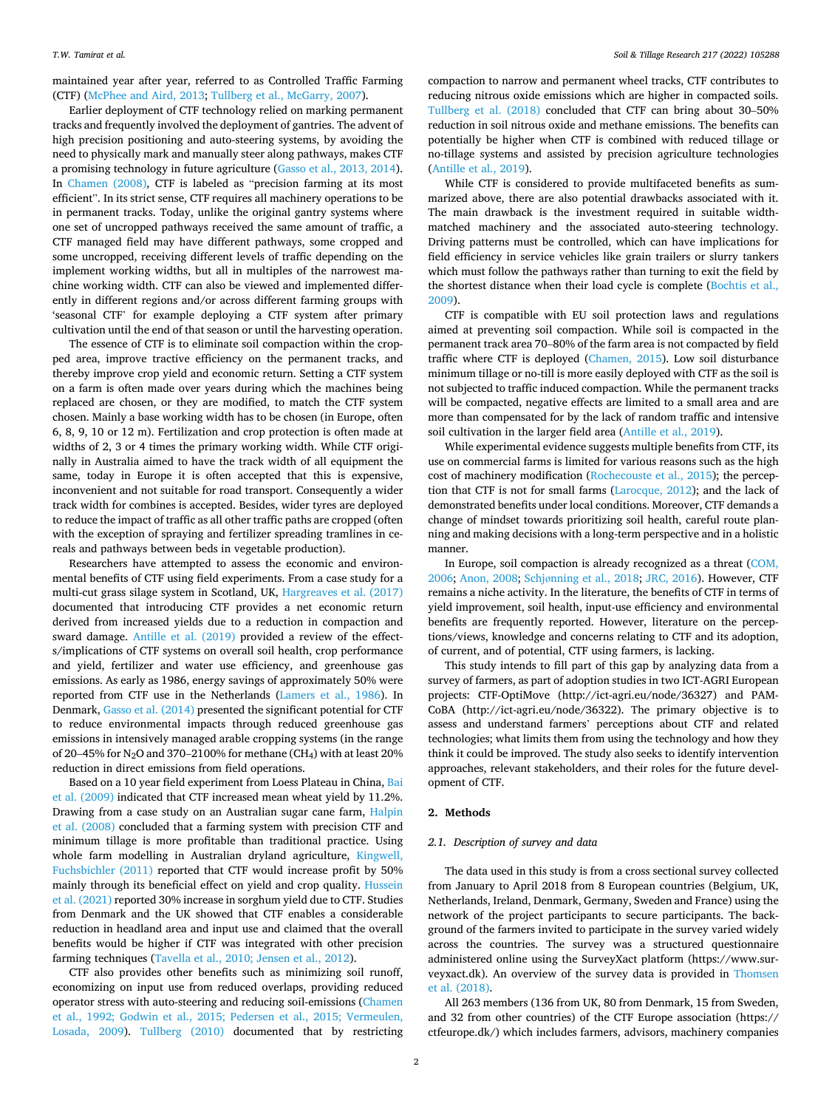maintained year after year, referred to as Controlled Traffic Farming (CTF) [\(McPhee and Aird, 2013; Tullberg et al., McGarry, 2007\)](#page-8-0).

Earlier deployment of CTF technology relied on marking permanent tracks and frequently involved the deployment of gantries. The advent of high precision positioning and auto-steering systems, by avoiding the need to physically mark and manually steer along pathways, makes CTF a promising technology in future agriculture ([Gasso et al., 2013, 2014](#page-7-0)). In [Chamen \(2008\)](#page-7-0), CTF is labeled as "precision farming at its most efficient". In its strict sense, CTF requires all machinery operations to be in permanent tracks. Today, unlike the original gantry systems where one set of uncropped pathways received the same amount of traffic, a CTF managed field may have different pathways, some cropped and some uncropped, receiving different levels of traffic depending on the implement working widths, but all in multiples of the narrowest machine working width. CTF can also be viewed and implemented differently in different regions and/or across different farming groups with 'seasonal CTF' for example deploying a CTF system after primary cultivation until the end of that season or until the harvesting operation.

The essence of CTF is to eliminate soil compaction within the cropped area, improve tractive efficiency on the permanent tracks, and thereby improve crop yield and economic return. Setting a CTF system on a farm is often made over years during which the machines being replaced are chosen, or they are modified, to match the CTF system chosen. Mainly a base working width has to be chosen (in Europe, often 6, 8, 9, 10 or 12 m). Fertilization and crop protection is often made at widths of 2, 3 or 4 times the primary working width. While CTF originally in Australia aimed to have the track width of all equipment the same, today in Europe it is often accepted that this is expensive, inconvenient and not suitable for road transport. Consequently a wider track width for combines is accepted. Besides, wider tyres are deployed to reduce the impact of traffic as all other traffic paths are cropped (often with the exception of spraying and fertilizer spreading tramlines in cereals and pathways between beds in vegetable production).

Researchers have attempted to assess the economic and environmental benefits of CTF using field experiments. From a case study for a multi-cut grass silage system in Scotland, UK, [Hargreaves et al. \(2017\)](#page-7-0)  documented that introducing CTF provides a net economic return derived from increased yields due to a reduction in compaction and sward damage. [Antille et al. \(2019\)](#page-7-0) provided a review of the effects/implications of CTF systems on overall soil health, crop performance and yield, fertilizer and water use efficiency, and greenhouse gas emissions. As early as 1986, energy savings of approximately 50% were reported from CTF use in the Netherlands [\(Lamers et al., 1986\)](#page-7-0). In Denmark, [Gasso et al. \(2014\)](#page-7-0) presented the significant potential for CTF to reduce environmental impacts through reduced greenhouse gas emissions in intensively managed arable cropping systems (in the range of 20–45% for N<sub>2</sub>O and 370–2100% for methane (CH<sub>4</sub>) with at least 20% reduction in direct emissions from field operations.

Based on a 10 year field experiment from Loess Plateau in China, [Bai](#page-7-0)  [et al. \(2009\)](#page-7-0) indicated that CTF increased mean wheat yield by 11.2%. Drawing from a case study on an Australian sugar cane farm, [Halpin](#page-7-0)  [et al. \(2008\)](#page-7-0) concluded that a farming system with precision CTF and minimum tillage is more profitable than traditional practice. Using whole farm modelling in Australian dryland agriculture, Kingwell, [Fuchsbichler \(2011\)](#page-7-0) reported that CTF would increase profit by 50% mainly through its beneficial effect on yield and crop quality. Hussein [et al. \(2021\)](#page-7-0) reported 30% increase in sorghum yield due to CTF. Studies from Denmark and the UK showed that CTF enables a considerable reduction in headland area and input use and claimed that the overall benefits would be higher if CTF was integrated with other precision farming techniques ([Tavella et al., 2010; Jensen et al., 2012](#page-8-0)).

CTF also provides other benefits such as minimizing soil runoff, economizing on input use from reduced overlaps, providing reduced operator stress with auto-steering and reducing soil-emissions ([Chamen](#page-7-0)  [et al., 1992; Godwin et al., 2015; Pedersen et al., 2015; Vermeulen,](#page-7-0)  [Losada, 2009\)](#page-7-0). [Tullberg \(2010\)](#page-8-0) documented that by restricting compaction to narrow and permanent wheel tracks, CTF contributes to reducing nitrous oxide emissions which are higher in compacted soils. [Tullberg et al. \(2018\)](#page-8-0) concluded that CTF can bring about 30–50% reduction in soil nitrous oxide and methane emissions. The benefits can potentially be higher when CTF is combined with reduced tillage or no-tillage systems and assisted by precision agriculture technologies ([Antille et al., 2019\)](#page-7-0).

While CTF is considered to provide multifaceted benefits as summarized above, there are also potential drawbacks associated with it. The main drawback is the investment required in suitable widthmatched machinery and the associated auto-steering technology. Driving patterns must be controlled, which can have implications for field efficiency in service vehicles like grain trailers or slurry tankers which must follow the pathways rather than turning to exit the field by the shortest distance when their load cycle is complete ([Bochtis et al.,](#page-7-0)  [2009\)](#page-7-0).

CTF is compatible with EU soil protection laws and regulations aimed at preventing soil compaction. While soil is compacted in the permanent track area 70–80% of the farm area is not compacted by field traffic where CTF is deployed ([Chamen, 2015\)](#page-7-0). Low soil disturbance minimum tillage or no-till is more easily deployed with CTF as the soil is not subjected to traffic induced compaction. While the permanent tracks will be compacted, negative effects are limited to a small area and are more than compensated for by the lack of random traffic and intensive soil cultivation in the larger field area [\(Antille et al., 2019\)](#page-7-0).

While experimental evidence suggests multiple benefits from CTF, its use on commercial farms is limited for various reasons such as the high cost of machinery modification ([Rochecouste et al., 2015\)](#page-8-0); the perception that CTF is not for small farms [\(Larocque, 2012](#page-7-0)); and the lack of demonstrated benefits under local conditions. Moreover, CTF demands a change of mindset towards prioritizing soil health, careful route planning and making decisions with a long-term perspective and in a holistic manner.

In Europe, soil compaction is already recognized as a threat ([COM,](#page-7-0)  [2006; Anon, 2008;](#page-7-0) Schjø[nning et al., 2018;](#page-8-0) [JRC, 2016](#page-7-0)). However, CTF remains a niche activity. In the literature, the benefits of CTF in terms of yield improvement, soil health, input-use efficiency and environmental benefits are frequently reported. However, literature on the perceptions/views, knowledge and concerns relating to CTF and its adoption, of current, and of potential, CTF using farmers, is lacking.

This study intends to fill part of this gap by analyzing data from a survey of farmers, as part of adoption studies in two ICT-AGRI European projects: CTF-OptiMove (http://ict-agri.eu/node/36327) and PAM-CoBA (http://ict-agri.eu/node/36322). The primary objective is to assess and understand farmers' perceptions about CTF and related technologies; what limits them from using the technology and how they think it could be improved. The study also seeks to identify intervention approaches, relevant stakeholders, and their roles for the future development of CTF.

#### **2. Methods**

# *2.1. Description of survey and data*

The data used in this study is from a cross sectional survey collected from January to April 2018 from 8 European countries (Belgium, UK, Netherlands, Ireland, Denmark, Germany, Sweden and France) using the network of the project participants to secure participants. The background of the farmers invited to participate in the survey varied widely across the countries. The survey was a structured questionnaire administered online using the SurveyXact platform (https://www.surveyxact.dk). An overview of the survey data is provided in [Thomsen](#page-8-0)  [et al. \(2018\).](#page-8-0)

All 263 members (136 from UK, 80 from Denmark, 15 from Sweden, and 32 from other countries) of the CTF Europe association (https:// ctfeurope.dk/) which includes farmers, advisors, machinery companies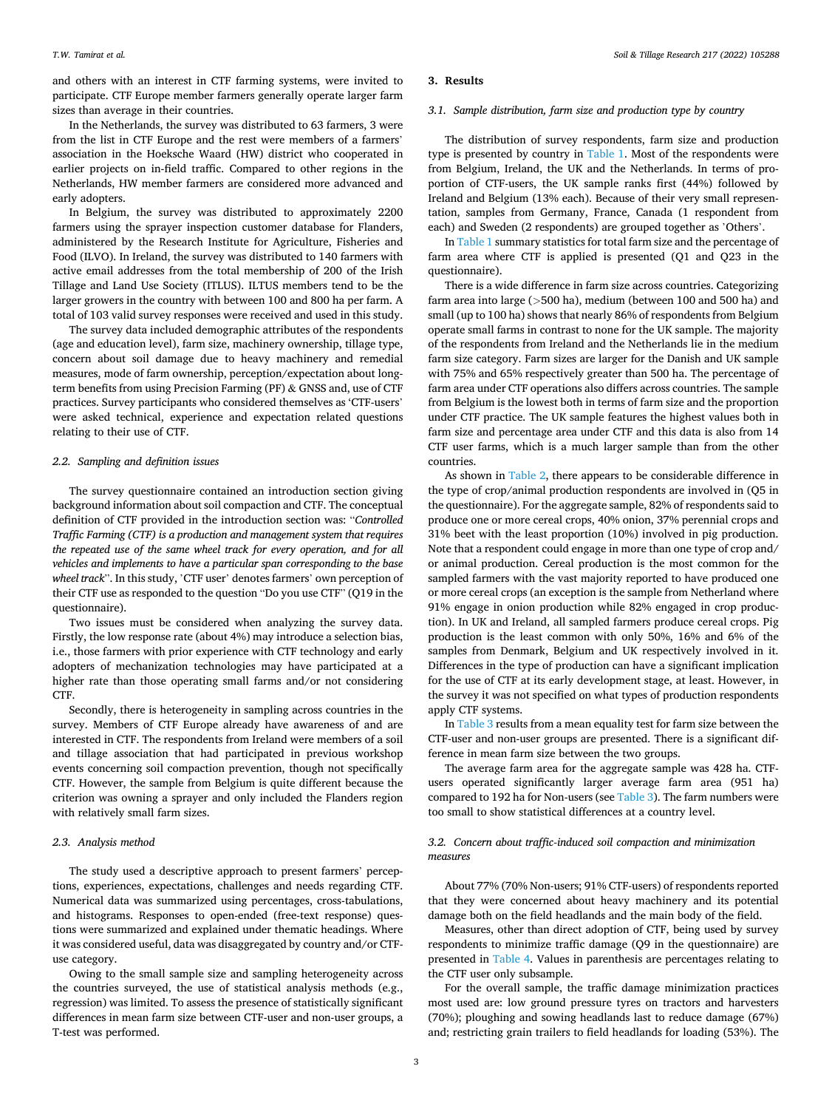and others with an interest in CTF farming systems, were invited to participate. CTF Europe member farmers generally operate larger farm sizes than average in their countries.

In the Netherlands, the survey was distributed to 63 farmers, 3 were from the list in CTF Europe and the rest were members of a farmers' association in the Hoeksche Waard (HW) district who cooperated in earlier projects on in-field traffic. Compared to other regions in the Netherlands, HW member farmers are considered more advanced and early adopters.

In Belgium, the survey was distributed to approximately 2200 farmers using the sprayer inspection customer database for Flanders, administered by the Research Institute for Agriculture, Fisheries and Food (ILVO). In Ireland, the survey was distributed to 140 farmers with active email addresses from the total membership of 200 of the Irish Tillage and Land Use Society (ITLUS). ILTUS members tend to be the larger growers in the country with between 100 and 800 ha per farm. A total of 103 valid survey responses were received and used in this study.

The survey data included demographic attributes of the respondents (age and education level), farm size, machinery ownership, tillage type, concern about soil damage due to heavy machinery and remedial measures, mode of farm ownership, perception/expectation about longterm benefits from using Precision Farming (PF) & GNSS and, use of CTF practices. Survey participants who considered themselves as 'CTF-users' were asked technical, experience and expectation related questions relating to their use of CTF.

# *2.2. Sampling and definition issues*

The survey questionnaire contained an introduction section giving background information about soil compaction and CTF. The conceptual definition of CTF provided in the introduction section was: "*Controlled Traffic Farming (CTF) is a production and management system that requires the repeated use of the same wheel track for every operation, and for all vehicles and implements to have a particular span corresponding to the base wheel track*". In this study, 'CTF user' denotes farmers' own perception of their CTF use as responded to the question "Do you use CTF" (Q19 in the questionnaire).

Two issues must be considered when analyzing the survey data. Firstly, the low response rate (about 4%) may introduce a selection bias, i.e., those farmers with prior experience with CTF technology and early adopters of mechanization technologies may have participated at a higher rate than those operating small farms and/or not considering CTF.

Secondly, there is heterogeneity in sampling across countries in the survey. Members of CTF Europe already have awareness of and are interested in CTF. The respondents from Ireland were members of a soil and tillage association that had participated in previous workshop events concerning soil compaction prevention, though not specifically CTF. However, the sample from Belgium is quite different because the criterion was owning a sprayer and only included the Flanders region with relatively small farm sizes.

# *2.3. Analysis method*

The study used a descriptive approach to present farmers' perceptions, experiences, expectations, challenges and needs regarding CTF. Numerical data was summarized using percentages, cross-tabulations, and histograms. Responses to open-ended (free-text response) questions were summarized and explained under thematic headings. Where it was considered useful, data was disaggregated by country and/or CTFuse category.

Owing to the small sample size and sampling heterogeneity across the countries surveyed, the use of statistical analysis methods (e.g., regression) was limited. To assess the presence of statistically significant differences in mean farm size between CTF-user and non-user groups, a T-test was performed.

# **3. Results**

# *3.1. Sample distribution, farm size and production type by country*

The distribution of survey respondents, farm size and production type is presented by country in [Table 1](#page-3-0). Most of the respondents were from Belgium, Ireland, the UK and the Netherlands. In terms of proportion of CTF-users, the UK sample ranks first (44%) followed by Ireland and Belgium (13% each). Because of their very small representation, samples from Germany, France, Canada (1 respondent from each) and Sweden (2 respondents) are grouped together as 'Others'.

In [Table 1](#page-3-0) summary statistics for total farm size and the percentage of farm area where CTF is applied is presented (Q1 and Q23 in the questionnaire).

There is a wide difference in farm size across countries. Categorizing farm area into large (*>*500 ha), medium (between 100 and 500 ha) and small (up to 100 ha) shows that nearly 86% of respondents from Belgium operate small farms in contrast to none for the UK sample. The majority of the respondents from Ireland and the Netherlands lie in the medium farm size category. Farm sizes are larger for the Danish and UK sample with 75% and 65% respectively greater than 500 ha. The percentage of farm area under CTF operations also differs across countries. The sample from Belgium is the lowest both in terms of farm size and the proportion under CTF practice. The UK sample features the highest values both in farm size and percentage area under CTF and this data is also from 14 CTF user farms, which is a much larger sample than from the other countries.

As shown in [Table 2,](#page-3-0) there appears to be considerable difference in the type of crop/animal production respondents are involved in (Q5 in the questionnaire). For the aggregate sample, 82% of respondents said to produce one or more cereal crops, 40% onion, 37% perennial crops and 31% beet with the least proportion (10%) involved in pig production. Note that a respondent could engage in more than one type of crop and/ or animal production. Cereal production is the most common for the sampled farmers with the vast majority reported to have produced one or more cereal crops (an exception is the sample from Netherland where 91% engage in onion production while 82% engaged in crop production). In UK and Ireland, all sampled farmers produce cereal crops. Pig production is the least common with only 50%, 16% and 6% of the samples from Denmark, Belgium and UK respectively involved in it. Differences in the type of production can have a significant implication for the use of CTF at its early development stage, at least. However, in the survey it was not specified on what types of production respondents apply CTF systems.

In [Table 3](#page-3-0) results from a mean equality test for farm size between the CTF-user and non-user groups are presented. There is a significant difference in mean farm size between the two groups.

The average farm area for the aggregate sample was 428 ha. CTFusers operated significantly larger average farm area (951 ha) compared to 192 ha for Non-users (see [Table 3\)](#page-3-0). The farm numbers were too small to show statistical differences at a country level.

# *3.2. Concern about traffic-induced soil compaction and minimization measures*

About 77% (70% Non-users; 91% CTF-users) of respondents reported that they were concerned about heavy machinery and its potential damage both on the field headlands and the main body of the field.

Measures, other than direct adoption of CTF, being used by survey respondents to minimize traffic damage (Q9 in the questionnaire) are presented in [Table 4.](#page-3-0) Values in parenthesis are percentages relating to the CTF user only subsample.

For the overall sample, the traffic damage minimization practices most used are: low ground pressure tyres on tractors and harvesters (70%); ploughing and sowing headlands last to reduce damage (67%) and; restricting grain trailers to field headlands for loading (53%). The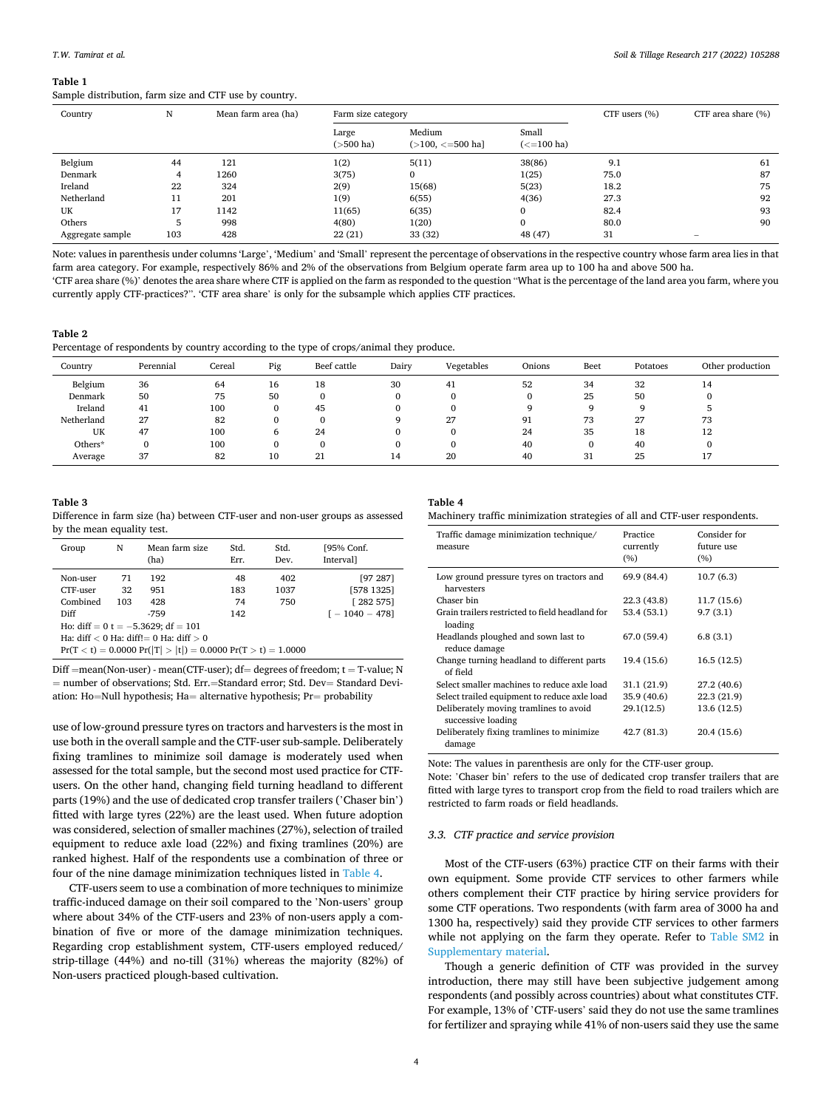#### <span id="page-3-0"></span>**Table 1**

Sample distribution, farm size and CTF use by country.

| Country          | N   | Mean farm area (ha) | Farm size category    |                                    |                       | CTF users (%) | CTF area share (%) |
|------------------|-----|---------------------|-----------------------|------------------------------------|-----------------------|---------------|--------------------|
|                  |     |                     | Large<br>$($ >500 ha) | Medium<br>$($ >100, $\lt$ =500 ha] | Small<br>$(<=100$ ha) |               |                    |
| Belgium          | 44  | 121                 | 1(2)                  | 5(11)                              | 38(86)                | 9.1           | 61                 |
| Denmark          | 4   | 1260                | 3(75)                 | 0                                  | 1(25)                 | 75.0          | 87                 |
| Ireland          | 22  | 324                 | 2(9)                  | 15(68)                             | 5(23)                 | 18.2          | 75                 |
| Netherland       | 11  | 201                 | 1(9)                  | 6(55)                              | 4(36)                 | 27.3          | 92                 |
| UK               | 17  | 1142                | 11(65)                | 6(35)                              | $\mathbf{0}$          | 82.4          | 93                 |
| Others           | 5   | 998                 | 4(80)                 | 1(20)                              | $\mathbf{0}$          | 80.0          | 90                 |
| Aggregate sample | 103 | 428                 | 22(21)                | 33 (32)                            | 48 (47)               | 31            |                    |

Note: values in parenthesis under columns 'Large', 'Medium' and 'Small' represent the percentage of observations in the respective country whose farm area lies in that farm area category. For example, respectively 86% and 2% of the observations from Belgium operate farm area up to 100 ha and above 500 ha. 'CTF area share (%)' denotes the area share where CTF is applied on the farm as responded to the question "What is the percentage of the land area you farm, where you currently apply CTF-practices?". 'CTF area share' is only for the subsample which applies CTF practices.

# **Table 2**

Percentage of respondents by country according to the type of crops/animal they produce.

| Country    | Perennial | Cereal | Pig | Beef cattle | Dairy    | Vegetables | Onions | Beet | Potatoes | Other production |
|------------|-----------|--------|-----|-------------|----------|------------|--------|------|----------|------------------|
| Belgium    | 36        | 64     | 16  | 18          | 30       | 41         | 52     | 34   | 32       | 14               |
| Denmark    | 50        | 75     | 50  |             | $\Omega$ |            |        | 25   | 50       | $\Omega$         |
| Ireland    | 41        | 100    | 0   | 45          | 0        |            | a      | o    |          |                  |
| Netherland | 27        | 82     | 0   |             | Q        | 27         | 91     | 73   | 27       | 73               |
| UK         | 47        | 100    | 6   | 24          | $\Omega$ |            | 24     | 35   | 18       | 12               |
| Others*    | $\Omega$  | 100    | 0   |             | $\Omega$ |            | 40     | υ    | 40       | $\Omega$         |
| Average    | 37        | 82     | 10  | 21          | 14       | 20         | 40     | 31   | 25       | 17               |

#### **Table 3**

Difference in farm size (ha) between CTF-user and non-user groups as assessed by the mean equality test.

| Group                                      | N   | Mean farm size<br>(ha) | Std.<br>Err. | Std.<br>Dev. | [95% Conf.<br>Interval] |
|--------------------------------------------|-----|------------------------|--------------|--------------|-------------------------|
| Non-user                                   | 71  | 192                    | 48           | 402          | [97 287]                |
| CTF-user                                   | 32  | 951                    | 183          | 1037         | [578 1325]              |
| Combined                                   | 103 | 428                    | 74           | 750          | [282 575]               |
| Diff                                       |     | $-759$                 | 142          |              | $\Gamma - 1040 - 4781$  |
| Ho: diff = $0$ t = $-5.3629$ ; df = 101    |     |                        |              |              |                         |
| Ha: diff $< 0$ Ha: diff!= 0 Ha: diff $> 0$ |     |                        |              |              |                         |

 $Pr(T < t) = 0.0000 Pr(|T| > |t|) = 0.0000 Pr(T > t) = 1.0000$ 

 $Diff = mean(Non-user) - mean(CTF-user); df = degrees of freedom; t = T-value; N$ = number of observations; Std. Err.=Standard error; Std. Dev= Standard Deviation: Ho=Null hypothesis; Ha= alternative hypothesis; Pr= probability

use of low-ground pressure tyres on tractors and harvesters is the most in use both in the overall sample and the CTF-user sub-sample. Deliberately fixing tramlines to minimize soil damage is moderately used when assessed for the total sample, but the second most used practice for CTFusers. On the other hand, changing field turning headland to different parts (19%) and the use of dedicated crop transfer trailers ('Chaser bin') fitted with large tyres (22%) are the least used. When future adoption was considered, selection of smaller machines (27%), selection of trailed equipment to reduce axle load (22%) and fixing tramlines (20%) are ranked highest. Half of the respondents use a combination of three or four of the nine damage minimization techniques listed in Table 4.

CTF-users seem to use a combination of more techniques to minimize traffic-induced damage on their soil compared to the 'Non-users' group where about 34% of the CTF-users and 23% of non-users apply a combination of five or more of the damage minimization techniques. Regarding crop establishment system, CTF-users employed reduced/ strip-tillage (44%) and no-till (31%) whereas the majority (82%) of Non-users practiced plough-based cultivation.

# **Table 4**

|  | Machinery traffic minimization strategies of all and CTF-user respondents. |  |
|--|----------------------------------------------------------------------------|--|
|--|----------------------------------------------------------------------------|--|

| Traffic damage minimization technique/<br>measure            | Practice<br>currently<br>(%) | Consider for<br>future use<br>(%) |
|--------------------------------------------------------------|------------------------------|-----------------------------------|
| Low ground pressure tyres on tractors and<br>harvesters      | 69.9 (84.4)                  | 10.7(6.3)                         |
| Chaser bin                                                   | 22.3 (43.8)                  | 11.7(15.6)                        |
| Grain trailers restricted to field headland for<br>loading   | 53.4 (53.1)                  | 9.7(3.1)                          |
| Headlands ploughed and sown last to<br>reduce damage         | 67.0 (59.4)                  | 6.8(3.1)                          |
| Change turning headland to different parts<br>of field       | 19.4 (15.6)                  | 16.5(12.5)                        |
| Select smaller machines to reduce axle load                  | 31.1 (21.9)                  | 27.2(40.6)                        |
| Select trailed equipment to reduce axle load                 | 35.9 (40.6)                  | 22.3 (21.9)                       |
| Deliberately moving tramlines to avoid<br>successive loading | 29.1(12.5)                   | 13.6 (12.5)                       |
| Deliberately fixing tramlines to minimize<br>damage          | 42.7 (81.3)                  | 20.4 (15.6)                       |

Note: The values in parenthesis are only for the CTF-user group.

Note: 'Chaser bin' refers to the use of dedicated crop transfer trailers that are fitted with large tyres to transport crop from the field to road trailers which are restricted to farm roads or field headlands.

#### *3.3. CTF practice and service provision*

Most of the CTF-users (63%) practice CTF on their farms with their own equipment. Some provide CTF services to other farmers while others complement their CTF practice by hiring service providers for some CTF operations. Two respondents (with farm area of 3000 ha and 1300 ha, respectively) said they provide CTF services to other farmers while not applying on the farm they operate. Refer to Table SM2 in Supplementary material.

Though a generic definition of CTF was provided in the survey introduction, there may still have been subjective judgement among respondents (and possibly across countries) about what constitutes CTF. For example, 13% of 'CTF-users' said they do not use the same tramlines for fertilizer and spraying while 41% of non-users said they use the same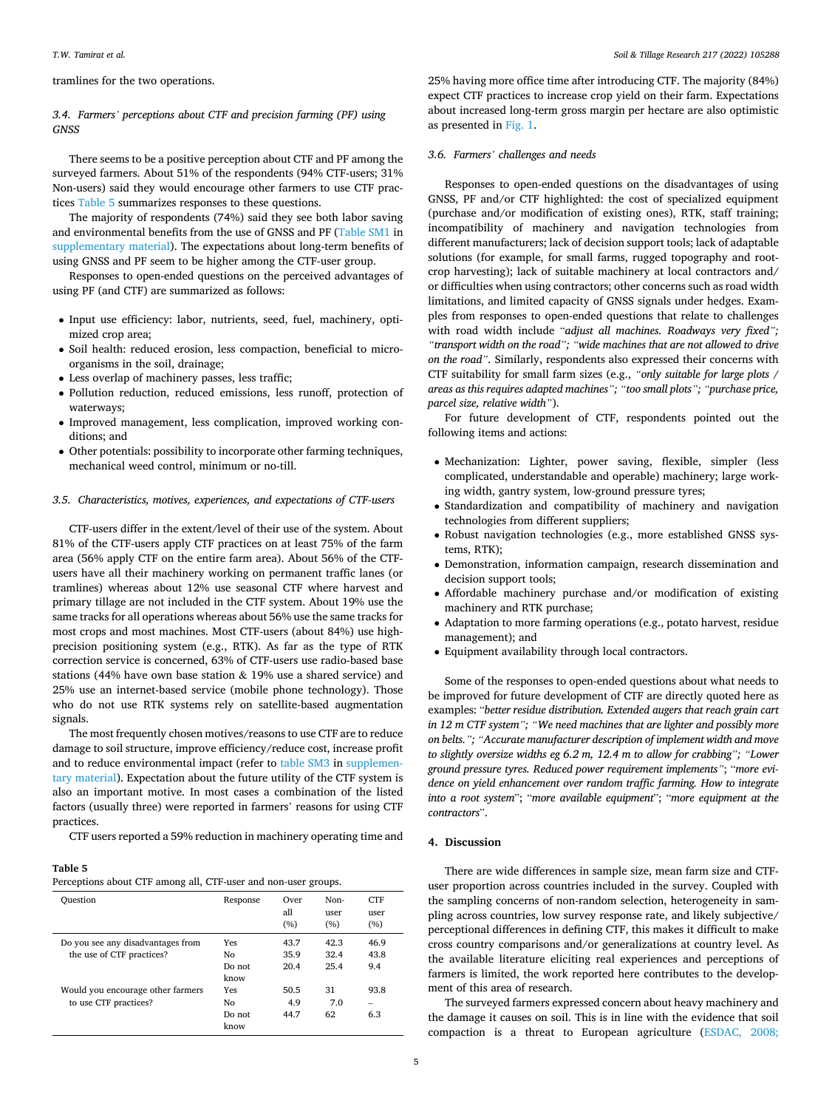# <span id="page-4-0"></span>tramlines for the two operations.

# *3.4. Farmers' perceptions about CTF and precision farming (PF) using GNSS*

There seems to be a positive perception about CTF and PF among the surveyed farmers. About 51% of the respondents (94% CTF-users; 31% Non-users) said they would encourage other farmers to use CTF practices Table 5 summarizes responses to these questions.

The majority of respondents (74%) said they see both labor saving and environmental benefits from the use of GNSS and PF (Table SM1 in supplementary material). The expectations about long-term benefits of using GNSS and PF seem to be higher among the CTF-user group.

Responses to open-ended questions on the perceived advantages of using PF (and CTF) are summarized as follows:

- Input use efficiency: labor, nutrients, seed, fuel, machinery, optimized crop area;
- Soil health: reduced erosion, less compaction, beneficial to microorganisms in the soil, drainage;
- Less overlap of machinery passes, less traffic;
- Pollution reduction, reduced emissions, less runoff, protection of waterways;
- Improved management, less complication, improved working conditions; and
- Other potentials: possibility to incorporate other farming techniques, mechanical weed control, minimum or no-till.

# *3.5. Characteristics, motives, experiences, and expectations of CTF-users*

CTF-users differ in the extent/level of their use of the system. About 81% of the CTF-users apply CTF practices on at least 75% of the farm area (56% apply CTF on the entire farm area). About 56% of the CTFusers have all their machinery working on permanent traffic lanes (or tramlines) whereas about 12% use seasonal CTF where harvest and primary tillage are not included in the CTF system. About 19% use the same tracks for all operations whereas about 56% use the same tracks for most crops and most machines. Most CTF-users (about 84%) use highprecision positioning system (e.g., RTK). As far as the type of RTK correction service is concerned, 63% of CTF-users use radio-based base stations (44% have own base station & 19% use a shared service) and 25% use an internet-based service (mobile phone technology). Those who do not use RTK systems rely on satellite-based augmentation signals.

The most frequently chosen motives/reasons to use CTF are to reduce damage to soil structure, improve efficiency/reduce cost, increase profit and to reduce environmental impact (refer to table SM3 in supplementary material). Expectation about the future utility of the CTF system is also an important motive. In most cases a combination of the listed factors (usually three) were reported in farmers' reasons for using CTF practices.

CTF users reported a 59% reduction in machinery operating time and

#### **Table 5**

| Perceptions about CTF among all, CTF-user and non-user groups. |  |  |  |  |  |
|----------------------------------------------------------------|--|--|--|--|--|
|----------------------------------------------------------------|--|--|--|--|--|

| Ouestion                                                       | Response                    | Over<br>all<br>(%)   | Non-<br>user<br>(%)  | <b>CTF</b><br>11ser<br>(%) |
|----------------------------------------------------------------|-----------------------------|----------------------|----------------------|----------------------------|
| Do you see any disadvantages from<br>the use of CTF practices? | Yes<br>Nο<br>Do not<br>know | 43.7<br>35.9<br>20.4 | 42.3<br>32.4<br>25.4 | 46.9<br>43.8<br>9.4        |
| Would you encourage other farmers<br>to use CTF practices?     | Yes<br>Nο<br>Do not<br>know | 50.5<br>4.9<br>44.7  | 31<br>7.0<br>62      | 93.8<br>6.3                |

25% having more office time after introducing CTF. The majority (84%) expect CTF practices to increase crop yield on their farm. Expectations about increased long-term gross margin per hectare are also optimistic as presented in [Fig. 1](#page-5-0).

# *3.6. Farmers' challenges and needs*

Responses to open-ended questions on the disadvantages of using GNSS, PF and/or CTF highlighted: the cost of specialized equipment (purchase and/or modification of existing ones), RTK, staff training; incompatibility of machinery and navigation technologies from different manufacturers; lack of decision support tools; lack of adaptable solutions (for example, for small farms, rugged topography and rootcrop harvesting); lack of suitable machinery at local contractors and/ or difficulties when using contractors; other concerns such as road width limitations, and limited capacity of GNSS signals under hedges. Examples from responses to open-ended questions that relate to challenges with road width include "*adjust all machines. Roadways very fixed"; "transport width on the road"; "wide machines that are not allowed to drive on the road".* Similarly, respondents also expressed their concerns with CTF suitability for small farm sizes (e.g., *"only suitable for large plots / areas as this requires adapted machines"; "too small plots"; "purchase price, parcel size, relative width"*).

For future development of CTF, respondents pointed out the following items and actions:

- Mechanization: Lighter, power saving, flexible, simpler (less complicated, understandable and operable) machinery; large working width, gantry system, low-ground pressure tyres;
- Standardization and compatibility of machinery and navigation technologies from different suppliers;
- Robust navigation technologies (e.g., more established GNSS systems, RTK);
- Demonstration, information campaign, research dissemination and decision support tools;
- Affordable machinery purchase and/or modification of existing machinery and RTK purchase;
- Adaptation to more farming operations (e.g., potato harvest, residue management); and
- Equipment availability through local contractors.

Some of the responses to open-ended questions about what needs to be improved for future development of CTF are directly quoted here as examples: "*better residue distribution. Extended augers that reach grain cart in 12 m CTF system"; "We need machines that are lighter and possibly more on belts."; "Accurate manufacturer description of implement width and move to slightly oversize widths eg 6.2 m, 12.4 m to allow for crabbing"; "Lower ground pressure tyres. Reduced power requirement implements"*; "*more evidence on yield enhancement over random traffic farming. How to integrate into a root system*"; "*more available equipment*"; "*more equipment at the contractors*".

#### **4. Discussion**

There are wide differences in sample size, mean farm size and CTFuser proportion across countries included in the survey. Coupled with the sampling concerns of non-random selection, heterogeneity in sampling across countries, low survey response rate, and likely subjective/ perceptional differences in defining CTF, this makes it difficult to make cross country comparisons and/or generalizations at country level. As the available literature eliciting real experiences and perceptions of farmers is limited, the work reported here contributes to the development of this area of research.

The surveyed farmers expressed concern about heavy machinery and the damage it causes on soil. This is in line with the evidence that soil compaction is a threat to European agriculture [\(ESDAC, 2008;](#page-7-0)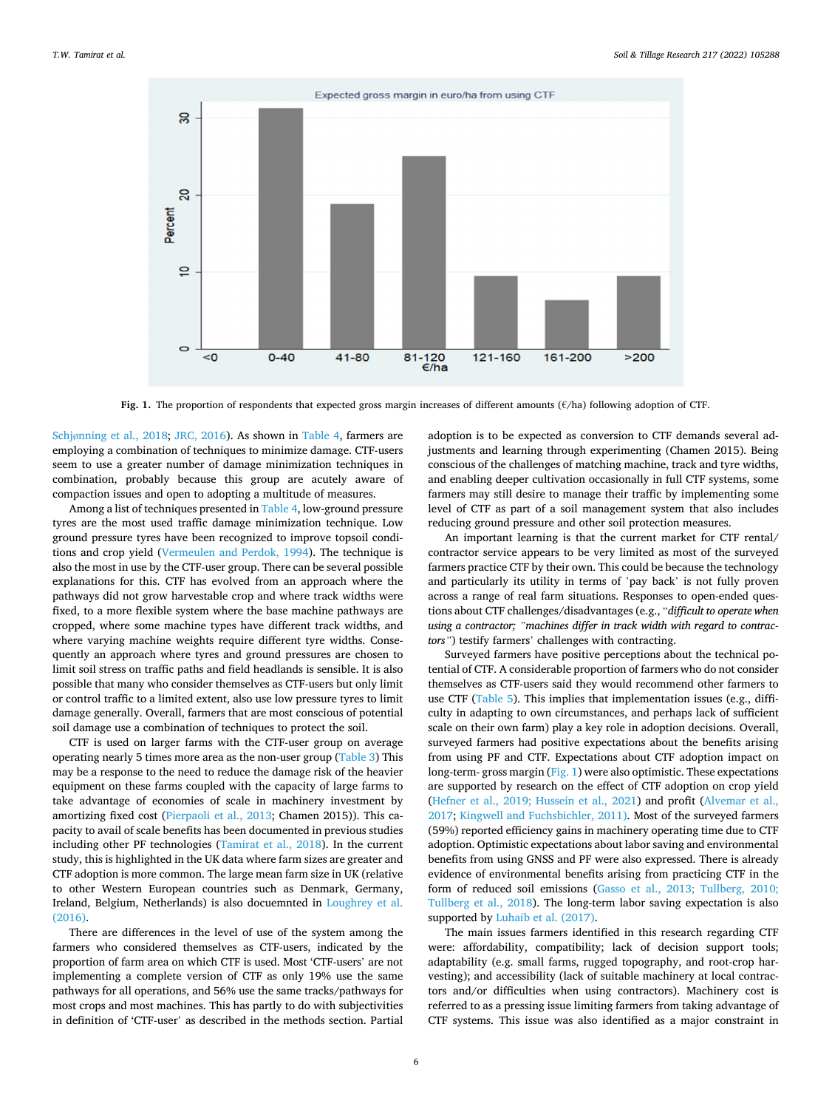<span id="page-5-0"></span>

**Fig. 1.** The proportion of respondents that expected gross margin increases of different amounts (€/ha) following adoption of CTF.

Schjø[nning et al., 2018](#page-7-0); [JRC, 2016](#page-7-0)). As shown in [Table 4](#page-3-0), farmers are employing a combination of techniques to minimize damage. CTF-users seem to use a greater number of damage minimization techniques in combination, probably because this group are acutely aware of compaction issues and open to adopting a multitude of measures.

Among a list of techniques presented in [Table 4](#page-3-0), low-ground pressure tyres are the most used traffic damage minimization technique. Low ground pressure tyres have been recognized to improve topsoil conditions and crop yield ([Vermeulen and Perdok, 1994](#page-8-0)). The technique is also the most in use by the CTF-user group. There can be several possible explanations for this. CTF has evolved from an approach where the pathways did not grow harvestable crop and where track widths were fixed, to a more flexible system where the base machine pathways are cropped, where some machine types have different track widths, and where varying machine weights require different tyre widths. Consequently an approach where tyres and ground pressures are chosen to limit soil stress on traffic paths and field headlands is sensible. It is also possible that many who consider themselves as CTF-users but only limit or control traffic to a limited extent, also use low pressure tyres to limit damage generally. Overall, farmers that are most conscious of potential soil damage use a combination of techniques to protect the soil.

CTF is used on larger farms with the CTF-user group on average operating nearly 5 times more area as the non-user group ([Table 3\)](#page-3-0) This may be a response to the need to reduce the damage risk of the heavier equipment on these farms coupled with the capacity of large farms to take advantage of economies of scale in machinery investment by amortizing fixed cost ([Pierpaoli et al., 2013;](#page-8-0) Chamen 2015)). This capacity to avail of scale benefits has been documented in previous studies including other PF technologies ([Tamirat et al., 2018](#page-8-0)). In the current study, this is highlighted in the UK data where farm sizes are greater and CTF adoption is more common. The large mean farm size in UK (relative to other Western European countries such as Denmark, Germany, Ireland, Belgium, Netherlands) is also docuemnted in [Loughrey et al.](#page-8-0)   $(2016)$ 

There are differences in the level of use of the system among the farmers who considered themselves as CTF-users, indicated by the proportion of farm area on which CTF is used. Most 'CTF-users' are not implementing a complete version of CTF as only 19% use the same pathways for all operations, and 56% use the same tracks/pathways for most crops and most machines. This has partly to do with subjectivities in definition of 'CTF-user' as described in the methods section. Partial

adoption is to be expected as conversion to CTF demands several adjustments and learning through experimenting (Chamen 2015). Being conscious of the challenges of matching machine, track and tyre widths, and enabling deeper cultivation occasionally in full CTF systems, some farmers may still desire to manage their traffic by implementing some level of CTF as part of a soil management system that also includes reducing ground pressure and other soil protection measures.

An important learning is that the current market for CTF rental/ contractor service appears to be very limited as most of the surveyed farmers practice CTF by their own. This could be because the technology and particularly its utility in terms of 'pay back' is not fully proven across a range of real farm situations. Responses to open-ended questions about CTF challenges/disadvantages (e.g., "*difficult to operate when using a contractor; "machines differ in track width with regard to contractors"*) testify farmers' challenges with contracting.

Surveyed farmers have positive perceptions about the technical potential of CTF. A considerable proportion of farmers who do not consider themselves as CTF-users said they would recommend other farmers to use CTF ([Table 5\)](#page-4-0). This implies that implementation issues (e.g., difficulty in adapting to own circumstances, and perhaps lack of sufficient scale on their own farm) play a key role in adoption decisions. Overall, surveyed farmers had positive expectations about the benefits arising from using PF and CTF. Expectations about CTF adoption impact on long-term- gross margin (Fig. 1) were also optimistic. These expectations are supported by research on the effect of CTF adoption on crop yield ([Hefner et al., 2019; Hussein et al., 2021](#page-7-0)) and profit [\(Alvemar et al.,](#page-7-0)  [2017; Kingwell and Fuchsbichler, 2011\)](#page-7-0). Most of the surveyed farmers (59%) reported efficiency gains in machinery operating time due to CTF adoption. Optimistic expectations about labor saving and environmental benefits from using GNSS and PF were also expressed. There is already evidence of environmental benefits arising from practicing CTF in the form of reduced soil emissions ([Gasso et al., 2013; Tullberg, 2010;](#page-7-0)  [Tullberg et al., 2018](#page-7-0)). The long-term labor saving expectation is also supported by [Luhaib et al. \(2017\).](#page-8-0)

The main issues farmers identified in this research regarding CTF were: affordability, compatibility; lack of decision support tools; adaptability (e.g. small farms, rugged topography, and root-crop harvesting); and accessibility (lack of suitable machinery at local contractors and/or difficulties when using contractors). Machinery cost is referred to as a pressing issue limiting farmers from taking advantage of CTF systems. This issue was also identified as a major constraint in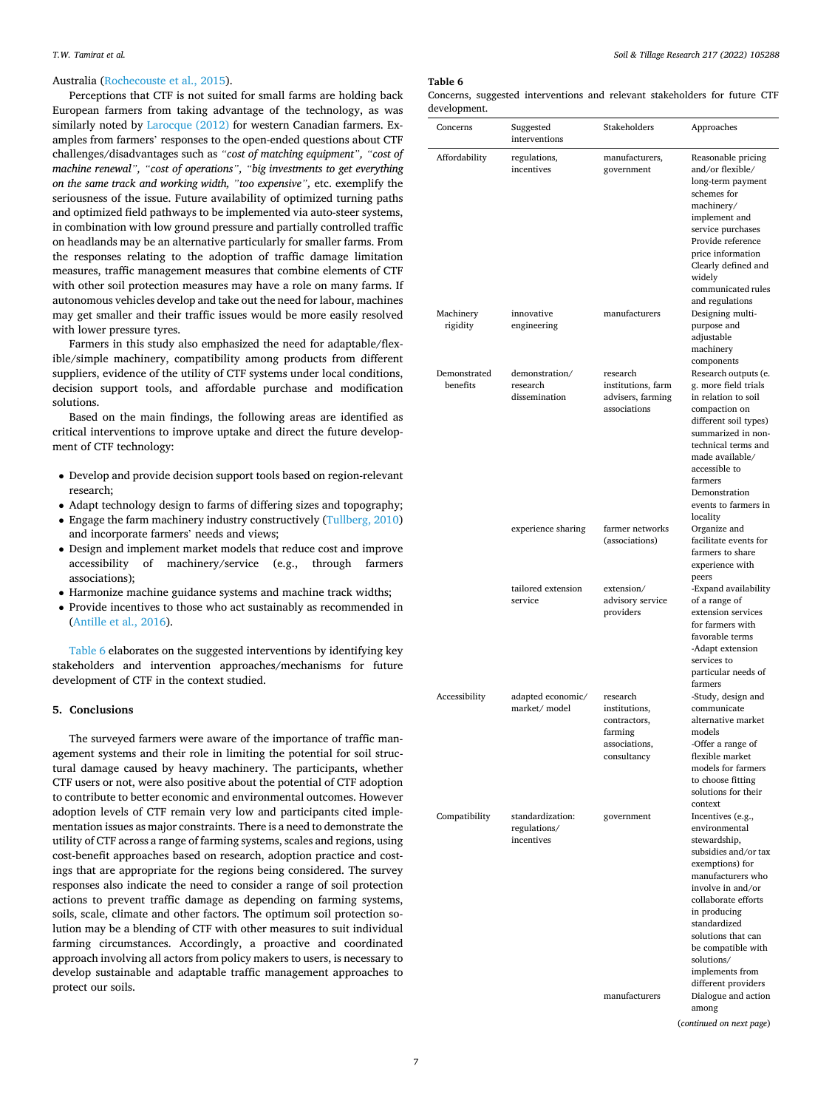# Australia ([Rochecouste et al., 2015](#page-8-0)).

Perceptions that CTF is not suited for small farms are holding back European farmers from taking advantage of the technology, as was similarly noted by [Larocque \(2012\)](#page-7-0) for western Canadian farmers. Examples from farmers' responses to the open-ended questions about CTF challenges/disadvantages such as *"cost of matching equipment", "cost of machine renewal", "cost of operations", "big investments to get everything on the same track and working width, "too expensive",* etc. exemplify the seriousness of the issue. Future availability of optimized turning paths and optimized field pathways to be implemented via auto-steer systems, in combination with low ground pressure and partially controlled traffic on headlands may be an alternative particularly for smaller farms. From the responses relating to the adoption of traffic damage limitation measures, traffic management measures that combine elements of CTF with other soil protection measures may have a role on many farms. If autonomous vehicles develop and take out the need for labour, machines may get smaller and their traffic issues would be more easily resolved with lower pressure tyres.

Farmers in this study also emphasized the need for adaptable/flexible/simple machinery, compatibility among products from different suppliers, evidence of the utility of CTF systems under local conditions, decision support tools, and affordable purchase and modification solutions.

Based on the main findings, the following areas are identified as critical interventions to improve uptake and direct the future development of CTF technology:

- Develop and provide decision support tools based on region-relevant research;
- Adapt technology design to farms of differing sizes and topography;
- Engage the farm machinery industry constructively ([Tullberg, 2010\)](#page-8-0) and incorporate farmers' needs and views;
- Design and implement market models that reduce cost and improve accessibility of machinery/service (e.g., through farmers associations);
- Harmonize machine guidance systems and machine track widths;
- Provide incentives to those who act sustainably as recommended in [\(Antille et al., 2016\)](#page-7-0).

Table 6 elaborates on the suggested interventions by identifying key stakeholders and intervention approaches/mechanisms for future development of CTF in the context studied.

# **5. Conclusions**

The surveyed farmers were aware of the importance of traffic management systems and their role in limiting the potential for soil structural damage caused by heavy machinery. The participants, whether CTF users or not, were also positive about the potential of CTF adoption to contribute to better economic and environmental outcomes. However adoption levels of CTF remain very low and participants cited implementation issues as major constraints. There is a need to demonstrate the utility of CTF across a range of farming systems, scales and regions, using cost-benefit approaches based on research, adoption practice and costings that are appropriate for the regions being considered. The survey responses also indicate the need to consider a range of soil protection actions to prevent traffic damage as depending on farming systems, soils, scale, climate and other factors. The optimum soil protection solution may be a blending of CTF with other measures to suit individual farming circumstances. Accordingly, a proactive and coordinated approach involving all actors from policy makers to users, is necessary to develop sustainable and adaptable traffic management approaches to protect our soils.

#### **Table 6**

|              | Concerns, suggested interventions and relevant stakeholders for future CTF |  |  |  |
|--------------|----------------------------------------------------------------------------|--|--|--|
| development. |                                                                            |  |  |  |

| uevelopment.             |                                                |                                                                                      |                                                                                                                                                                                                                                                                                                    |
|--------------------------|------------------------------------------------|--------------------------------------------------------------------------------------|----------------------------------------------------------------------------------------------------------------------------------------------------------------------------------------------------------------------------------------------------------------------------------------------------|
| Concerns                 | Suggested<br>interventions                     | Stakeholders                                                                         | Approaches                                                                                                                                                                                                                                                                                         |
| Affordability            | regulations,<br>incentives                     | manufacturers,<br>government                                                         | Reasonable pricing<br>and/or flexible/<br>long-term payment<br>schemes for<br>machinery/<br>implement and<br>service purchases<br>Provide reference<br>price information<br>Clearly defined and<br>widely<br>communicated rules                                                                    |
| Machinery<br>rigidity    | innovative<br>engineering                      | manufacturers                                                                        | and regulations<br>Designing multi-<br>purpose and<br>adjustable<br>machinery<br>components                                                                                                                                                                                                        |
| Demonstrated<br>benefits | demonstration/<br>research<br>dissemination    | research<br>institutions, farm<br>advisers, farming<br>associations                  | Research outputs (e.<br>g. more field trials<br>in relation to soil<br>compaction on<br>different soil types)<br>summarized in non-<br>technical terms and<br>made available/<br>accessible to<br>farmers<br>Demonstration<br>events to farmers in<br>locality                                     |
|                          | experience sharing                             | farmer networks<br>(associations)                                                    | Organize and<br>facilitate events for<br>farmers to share<br>experience with<br>peers                                                                                                                                                                                                              |
|                          | tailored extension<br>service                  | extension/<br>advisory service<br>providers                                          | -Expand availability<br>of a range of<br>extension services<br>for farmers with<br>favorable terms<br>-Adapt extension<br>services to<br>particular needs of<br>farmers                                                                                                                            |
| Accessibility            | adapted economic/<br>market/model              | research<br>institutions,<br>contractors,<br>farming<br>associations,<br>consultancy | -Study, design and<br>communicate<br>alternative market<br>models<br>-Offer a range of<br>flexible market<br>models for farmers<br>to choose fitting<br>solutions for their<br>context                                                                                                             |
| Compatibility            | standardization:<br>regulations/<br>incentives | government                                                                           | Incentives (e.g.,<br>environmental<br>stewardship,<br>subsidies and/or tax<br>exemptions) for<br>manufacturers who<br>involve in and/or<br>collaborate efforts<br>in producing<br>standardized<br>solutions that can<br>be compatible with<br>solutions/<br>implements from<br>different providers |
|                          |                                                | manufacturers                                                                        | Dialogue and action<br>among<br>(continued on next page)                                                                                                                                                                                                                                           |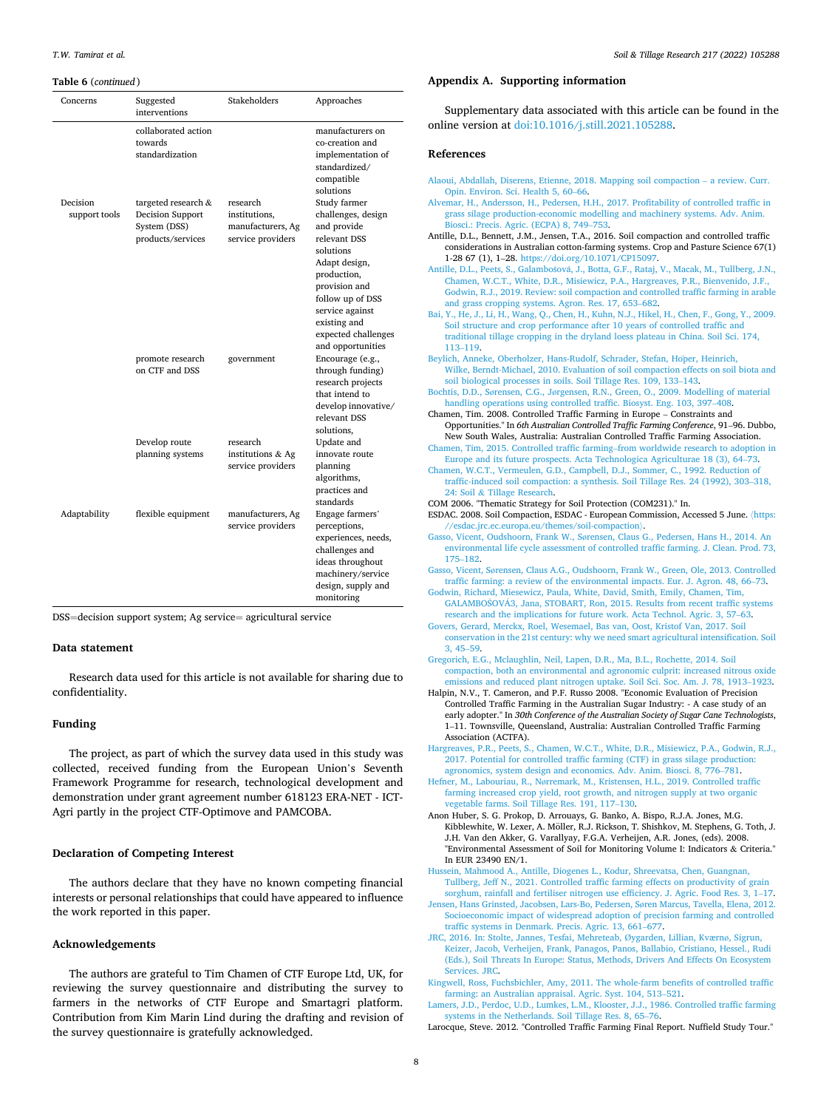#### <span id="page-7-0"></span>**Table 6** (*continued* )

| Concerns                  | Suggested<br>interventions                                                   | <b>Stakeholders</b>                                                 | Approaches                                                                                                                                                                                                                         |
|---------------------------|------------------------------------------------------------------------------|---------------------------------------------------------------------|------------------------------------------------------------------------------------------------------------------------------------------------------------------------------------------------------------------------------------|
|                           | collaborated action<br>towards<br>standardization                            |                                                                     | manufacturers on<br>co-creation and<br>implementation of<br>standardized/<br>compatible<br>solutions                                                                                                                               |
| Decision<br>support tools | targeted research &<br>Decision Support<br>System (DSS)<br>products/services | research<br>institutions,<br>manufacturers, Ag<br>service providers | Study farmer<br>challenges, design<br>and provide<br>relevant DSS<br>solutions<br>Adapt design,<br>production,<br>provision and<br>follow up of DSS<br>service against<br>existing and<br>expected challenges<br>and opportunities |
|                           | promote research<br>on CTF and DSS                                           | government                                                          | Encourage (e.g.,<br>through funding)<br>research projects<br>that intend to<br>develop innovative/<br>relevant DSS<br>solutions,                                                                                                   |
|                           | Develop route<br>planning systems                                            | research<br>institutions & Ag<br>service providers                  | Update and<br>innovate route<br>planning<br>algorithms,<br>practices and<br>standards                                                                                                                                              |
| Adaptability              | flexible equipment                                                           | manufacturers, Ag<br>service providers                              | Engage farmers'<br>perceptions,<br>experiences, needs,<br>challenges and<br>ideas throughout<br>machinery/service<br>design, supply and<br>monitoring                                                                              |

DSS=decision support system; Ag service= agricultural service

# **Data statement**

Research data used for this article is not available for sharing due to confidentiality.

# **Funding**

The project, as part of which the survey data used in this study was collected, received funding from the European Union's Seventh Framework Programme for research, technological development and demonstration under grant agreement number 618123 ERA-NET - ICT-Agri partly in the project CTF-Optimove and PAMCOBA.

# **Declaration of Competing Interest**

The authors declare that they have no known competing financial interests or personal relationships that could have appeared to influence the work reported in this paper.

# **Acknowledgements**

The authors are grateful to Tim Chamen of CTF Europe Ltd, UK, for reviewing the survey questionnaire and distributing the survey to farmers in the networks of CTF Europe and Smartagri platform. Contribution from Kim Marin Lind during the drafting and revision of the survey questionnaire is gratefully acknowledged.

# **Appendix A. Supporting information**

Supplementary data associated with this article can be found in the online version at [doi:10.1016/j.still.2021.105288.](https://doi.org/10.1016/j.still.2021.105288)

# **References**

| Alaoui, Abdallah, Diserens, Etienne, 2018. Mapping soil compaction - a review. Curr.                                                                                           |  |
|--------------------------------------------------------------------------------------------------------------------------------------------------------------------------------|--|
| Opin. Environ. Sci. Health 5, 60-66.<br>Alvemar, H., Andersson, H., Pedersen, H.H., 2017. Profitability of controlled traffic in                                               |  |
| grass silage production-economic modelling and machinery systems. Adv. Anim.<br>Biosci.: Precis. Agric. (ECPA) 8, 749-753.                                                     |  |
| Antille, D.L., Bennett, J.M., Jensen, T.A., 2016. Soil compaction and controlled traffic                                                                                       |  |
| considerations in Australian cotton-farming systems. Crop and Pasture Science 67(1)<br>1-28 67 (1), 1-28. https://doi.org/10.1071/CP15097.                                     |  |
| Antille, D.L., Peets, S., Galambošová, J., Botta, G.F., Rataj, V., Macak, M., Tullberg, J.N.,                                                                                  |  |
| Chamen, W.C.T., White, D.R., Misiewicz, P.A., Hargreaves, P.R., Bienvenido, J.F.,                                                                                              |  |
| Godwin, R.J., 2019. Review: soil compaction and controlled traffic farming in arable<br>and grass cropping systems. Agron. Res. 17, 653-682.                                   |  |
| Bai, Y., He, J., Li, H., Wang, Q., Chen, H., Kuhn, N.J., Hikel, H., Chen, F., Gong, Y., 2009.                                                                                  |  |
| Soil structure and crop performance after 10 years of controlled traffic and                                                                                                   |  |
| traditional tillage cropping in the dryland loess plateau in China. Soil Sci. 174,<br>113-119.                                                                                 |  |
| Beylich, Anneke, Oberholzer, Hans-Rudolf, Schrader, Stefan, Höper, Heinrich,                                                                                                   |  |
| Wilke, Berndt-Michael, 2010. Evaluation of soil compaction effects on soil biota and<br>soil biological processes in soils. Soil Tillage Res. 109, 133-143.                    |  |
| Bochtis, D.D., Sørensen, C.G., Jørgensen, R.N., Green, O., 2009. Modelling of material                                                                                         |  |
| handling operations using controlled traffic. Biosyst. Eng. 103, 397-408.                                                                                                      |  |
| Chamen, Tim. 2008. Controlled Traffic Farming in Europe - Constraints and<br>Opportunities." In 6th Australian Controlled Traffic Farming Conference, 91-96. Dubbo,            |  |
| New South Wales, Australia: Australian Controlled Traffic Farming Association.                                                                                                 |  |
| Chamen, Tim, 2015. Controlled traffic farming-from worldwide research to adoption in                                                                                           |  |
| Europe and its future prospects. Acta Technologica Agriculturae 18 (3), 64–73.<br>Chamen, W.C.T., Vermeulen, G.D., Campbell, D.J., Sommer, C., 1992. Reduction of              |  |
| traffic-induced soil compaction: a synthesis. Soil Tillage Res. 24 (1992), 303-318,                                                                                            |  |
| 24: Soil & Tillage Research.                                                                                                                                                   |  |
| COM 2006. "Thematic Strategy for Soil Protection (COM231)." In.<br>ESDAC. 2008. Soil Compaction, ESDAC - European Commission, Accessed 5 June. (https:                         |  |
| //esdac.jrc.ec.europa.eu/themes/soil-compaction).                                                                                                                              |  |
| Gasso, Vicent, Oudshoorn, Frank W., Sørensen, Claus G., Pedersen, Hans H., 2014. An<br>environmental life cycle assessment of controlled traffic farming. J. Clean. Prod. 73,  |  |
| 175-182.                                                                                                                                                                       |  |
| Gasso, Vicent, Sørensen, Claus A.G., Oudshoorn, Frank W., Green, Ole, 2013. Controlled                                                                                         |  |
| traffic farming: a review of the environmental impacts. Eur. J. Agron. 48, 66–73.<br>Godwin, Richard, Miesewicz, Paula, White, David, Smith, Emily, Chamen, Tim,               |  |
| GALAMBOSOVA3, Jana, STOBART, Ron, 2015. Results from recent traffic systems                                                                                                    |  |
| research and the implications for future work. Acta Technol. Agric. 3, 57–63.<br>Govers, Gerard, Merckx, Roel, Wesemael, Bas van, Oost, Kristof Van, 2017. Soil                |  |
| conservation in the 21st century: why we need smart agricultural intensification. Soil                                                                                         |  |
| $3,45-59.$                                                                                                                                                                     |  |
| Gregorich, E.G., Mclaughlin, Neil, Lapen, D.R., Ma, B.L., Rochette, 2014. Soil<br>compaction, both an environmental and agronomic culprit: increased nitrous oxide             |  |
| emissions and reduced plant nitrogen uptake. Soil Sci. Soc. Am. J. 78, 1913-1923.                                                                                              |  |
| Halpin, N.V., T. Cameron, and P.F. Russo 2008. "Economic Evaluation of Precision                                                                                               |  |
| Controlled Traffic Farming in the Australian Sugar Industry: - A case study of an<br>early adopter." In 30th Conference of the Australian Society of Sugar Cane Technologists, |  |
| 1-11. Townsville, Queensland, Australia: Australian Controlled Traffic Farming                                                                                                 |  |
| Association (ACTFA).<br>Hargreaves, P.R., Peets, S., Chamen, W.C.T., White, D.R., Misiewicz, P.A., Godwin, R.J.,                                                               |  |
| 2017. Potential for controlled traffic farming (CTF) in grass silage production:                                                                                               |  |
| agronomics, system design and economics. Adv. Anim. Biosci. 8, 776-781.                                                                                                        |  |
| Hefner, M., Labouriau, R., Nørremark, M., Kristensen, H.L., 2019. Controlled traffic<br>farming increased crop yield, root growth, and nitrogen supply at two organic          |  |
| vegetable farms. Soil Tillage Res. 191, 117-130.                                                                                                                               |  |
| Anon Huber, S. G. Prokop, D. Arrouays, G. Banko, A. Bispo, R.J.A. Jones, M.G.<br>Kibblewhite, W. Lexer, A. Möller, R.J. Rickson, T. Shishkov, M. Stephens, G. Toth, J.         |  |
| J.H. Van den Akker, G. Varallyay, F.G.A. Verheijen, A.R. Jones, (eds). 2008.                                                                                                   |  |
| "Environmental Assessment of Soil for Monitoring Volume I: Indicators & Criteria."                                                                                             |  |
| In EUR 23490 EN/1.<br>Hussein, Mahmood A., Antille, Diogenes L., Kodur, Shreevatsa, Chen, Guangnan,                                                                            |  |
| Tullberg, Jeff N., 2021. Controlled traffic farming effects on productivity of grain                                                                                           |  |
| sorghum, rainfall and fertiliser nitrogen use efficiency. J. Agric. Food Res. 3, 1-17.                                                                                         |  |
| Jensen, Hans Grinsted, Jacobsen, Lars-Bo, Pedersen, Søren Marcus, Tavella, Elena, 2012.<br>Socioeconomic impact of widespread adoption of precision farming and controlled     |  |
| traffic systems in Denmark. Precis. Agric. 13, 661-677.                                                                                                                        |  |
| JRC, 2016. In: Stolte, Jannes, Tesfai, Mehreteab, Øygarden, Lillian, Kværnø, Sigrun,<br>Keizer, Jacob, Verheijen, Frank, Panagos, Panos, Ballabio, Cristiano, Hessel., Rudi    |  |
| (Eds.), Soil Threats In Europe: Status, Methods, Drivers And Effects On Ecosystem                                                                                              |  |

[Services. JRC.](http://refhub.elsevier.com/S0167-1987(21)00361-5/sbref19) [Kingwell, Ross, Fuchsbichler, Amy, 2011. The whole-farm benefits of controlled traffic](http://refhub.elsevier.com/S0167-1987(21)00361-5/sbref20)  [farming: an Australian appraisal. Agric. Syst. 104, 513](http://refhub.elsevier.com/S0167-1987(21)00361-5/sbref20)–521.

[Lamers, J.D., Perdoc, U.D., Lumkes, L.M., Klooster, J.J., 1986. Controlled traffic farming](http://refhub.elsevier.com/S0167-1987(21)00361-5/sbref21)  [systems in the Netherlands. Soil Tillage Res. 8, 65](http://refhub.elsevier.com/S0167-1987(21)00361-5/sbref21)–76.

Larocque, Steve. 2012. "Controlled Traffic Farming Final Report. Nuffield Study Tour."